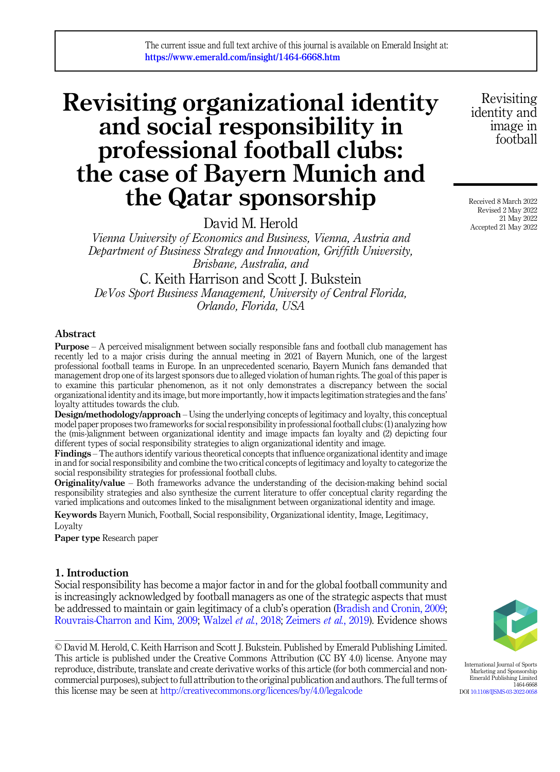# Revisiting organizational identity and social responsibility in professional football clubs: the case of Bayern Munich and the Qatar sponsorship

David M. Herold

Vienna University of Economics and Business, Vienna, Austria and Department of Business Strategy and Innovation, Griffith University, Brisbane, Australia, and

C. Keith Harrison and Scott J. Bukstein DeVos Sport Business Management, University of Central Florida, Orlando, Florida, USA

## Abstract

Purpose – A perceived misalignment between socially responsible fans and football club management has recently led to a major crisis during the annual meeting in 2021 of Bayern Munich, one of the largest professional football teams in Europe. In an unprecedented scenario, Bayern Munich fans demanded that management drop one of its largest sponsors due to alleged violation of human rights. The goal of this paper is to examine this particular phenomenon, as it not only demonstrates a discrepancy between the social organizational identity and its image, but more importantly, how it impacts legitimation strategies and the fans' loyalty attitudes towards the club.

Design/methodology/approach – Using the underlying concepts of legitimacy and loyalty, this conceptual model paper proposes two frameworks for social responsibility in professional football clubs: (1) analyzing how the (mis-)alignment between organizational identity and image impacts fan loyalty and (2) depicting four different types of social responsibility strategies to align organizational identity and image.

Findings – The authors identify various theoretical concepts that influence organizational identity and image in and for social responsibility and combine the two critical concepts of legitimacy and loyalty to categorize the social responsibility strategies for professional football clubs.

Originality/value – Both frameworks advance the understanding of the decision-making behind social responsibility strategies and also synthesize the current literature to offer conceptual clarity regarding the varied implications and outcomes linked to the misalignment between organizational identity and image.

Keywords Bayern Munich, Football, Social responsibility, Organizational identity, Image, Legitimacy, Loyalty

Paper type Research paper

## 1. Introduction

Social responsibility has become a major factor in and for the global football community and is increasingly acknowledged by football managers as one of the strategic aspects that must be addressed to maintain or gain legitimacy of a club's operation [\(Bradish and Cronin, 2009](#page-13-0); [Rouvrais-Charron and Kim, 2009](#page-15-0); [Walzel](#page-17-0) et al., 2018; [Zeimers](#page-17-0) et al., 2019). Evidence shows

© David M. Herold, C. Keith Harrison and Scott J. Bukstein. Published by Emerald Publishing Limited. This article is published under the Creative Commons Attribution (CC BY 4.0) license. Anyone may reproduce, distribute, translate and create derivative works of this article (for both commercial and noncommercial purposes), subject to full attribution to the original publication and authors. The full terms of this license may be seen at <http://creativecommons.org/licences/by/4.0/legalcode>

Revisiting identity and image in football

Received 8 March 2022 Revised 2 May 2022 21 May 2022 Accepted 21 May 2022



International Journal of Sports Marketing and Sponsorship Emerald Publishing Limited 1464-6668 DOI [10.1108/IJSMS-03-2022-0058](https://doi.org/10.1108/IJSMS-03-2022-0058)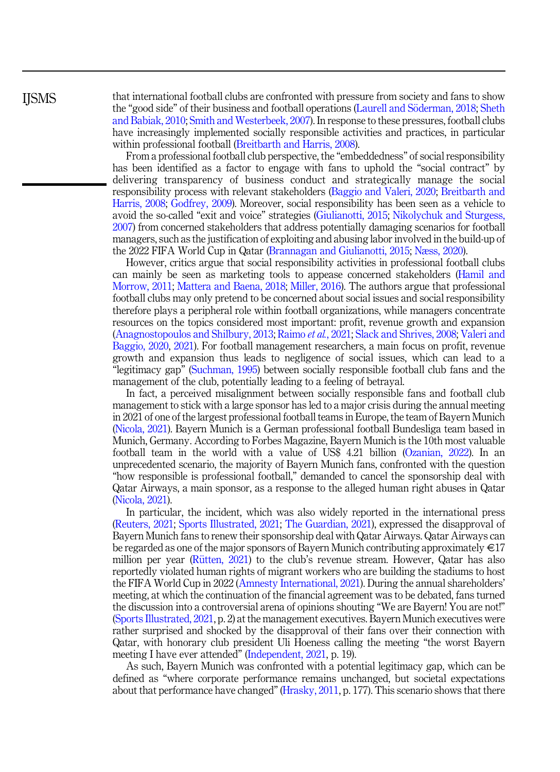**IISMS** 

that international football clubs are confronted with pressure from society and fans to show the "good side" of their business and football operations [\(Laurell and S](#page-14-0)ö[derman, 2018](#page-14-0); [Sheth](#page-16-0) [and Babiak, 2010;](#page-16-0) [Smith and Westerbeek, 2007](#page-16-0)). In response to these pressures, football clubs have increasingly implemented socially responsible activities and practices, in particular within professional football [\(Breitbarth and Harris, 2008\)](#page-13-0).

From a professional football club perspective, the "embeddedness" of social responsibility has been identified as a factor to engage with fans to uphold the "social contract" by delivering transparency of business conduct and strategically manage the social responsibility process with relevant stakeholders [\(Baggio and Valeri, 2020](#page-12-0); [Breitbarth and](#page-13-0) [Harris, 2008;](#page-13-0) [Godfrey, 2009](#page-13-0)). Moreover, social responsibility has been seen as a vehicle to avoid the so-called "exit and voice" strategies ([Giulianotti, 2015;](#page-13-0) [Nikolychuk and Sturgess,](#page-15-0) [2007\)](#page-15-0) from concerned stakeholders that address potentially damaging scenarios for football managers, such as the justification of exploiting and abusing labor involved in the build-up of the 2022 FIFA World Cup in Qatar [\(Brannagan and Giulianotti, 2015](#page-13-0); [Næss, 2020](#page-15-0)).

However, critics argue that social responsibility activities in professional football clubs can mainly be seen as marketing tools to appease concerned stakeholders ([Hamil and](#page-14-0) [Morrow, 2011;](#page-14-0) [Mattera and Baena, 2018;](#page-14-0) [Miller, 2016](#page-15-0)). The authors argue that professional football clubs may only pretend to be concerned about social issues and social responsibility therefore plays a peripheral role within football organizations, while managers concentrate resources on the topics considered most important: profit, revenue growth and expansion ([Anagnostopoulos and Shilbury, 2013;](#page-12-0) [Raimo](#page-15-0) et al., 2021; [Slack and Shrives, 2008](#page-16-0); [Valeri and](#page-16-0) [Baggio, 2020,](#page-16-0) [2021\)](#page-16-0). For football management researchers, a main focus on profit, revenue growth and expansion thus leads to negligence of social issues, which can lead to a "legitimacy gap" ([Suchman, 1995\)](#page-16-0) between socially responsible football club fans and the management of the club, potentially leading to a feeling of betrayal.

In fact, a perceived misalignment between socially responsible fans and football club management to stick with a large sponsor has led to a major crisis during the annual meeting in 2021 of one of the largest professional football teams in Europe, the team of Bayern Munich ([Nicola, 2021\)](#page-15-0). Bayern Munich is a German professional football Bundesliga team based in Munich, Germany. According to Forbes Magazine, Bayern Munich is the 10th most valuable football team in the world with a value of US\$ 4.21 billion [\(Ozanian, 2022](#page-15-0)). In an unprecedented scenario, the majority of Bayern Munich fans, confronted with the question "how responsible is professional football," demanded to cancel the sponsorship deal with Qatar Airways, a main sponsor, as a response to the alleged human right abuses in Qatar ([Nicola, 2021\)](#page-15-0).

In particular, the incident, which was also widely reported in the international press ([Reuters, 2021](#page-15-0); [Sports Illustrated, 2021;](#page-16-0) [The Guardian, 2021](#page-16-0)), expressed the disapproval of Bayern Munich fans to renew their sponsorship deal with Qatar Airways. Qatar Airways can be regarded as one of the major sponsors of Bayern Munich contributing approximately  $\in$ 17 million per year (Rütten,  $2021$ ) to the club's revenue stream. However, Qatar has also reportedly violated human rights of migrant workers who are building the stadiums to host the FIFA World Cup in 2022 [\(Amnesty International, 2021\)](#page-12-0). During the annual shareholders' meeting, at which the continuation of the financial agreement was to be debated, fans turned the discussion into a controversial arena of opinions shouting "We are Bayern! You are not!" ([Sports Illustrated, 2021](#page-16-0), p. 2) at the management executives. Bayern Munich executives were rather surprised and shocked by the disapproval of their fans over their connection with Qatar, with honorary club president Uli Hoeness calling the meeting "the worst Bayern meeting I have ever attended" [\(Independent, 2021](#page-14-0), p. 19).

As such, Bayern Munich was confronted with a potential legitimacy gap, which can be defined as "where corporate performance remains unchanged, but societal expectations about that performance have changed" [\(Hrasky, 2011,](#page-14-0) p. 177). This scenario shows that there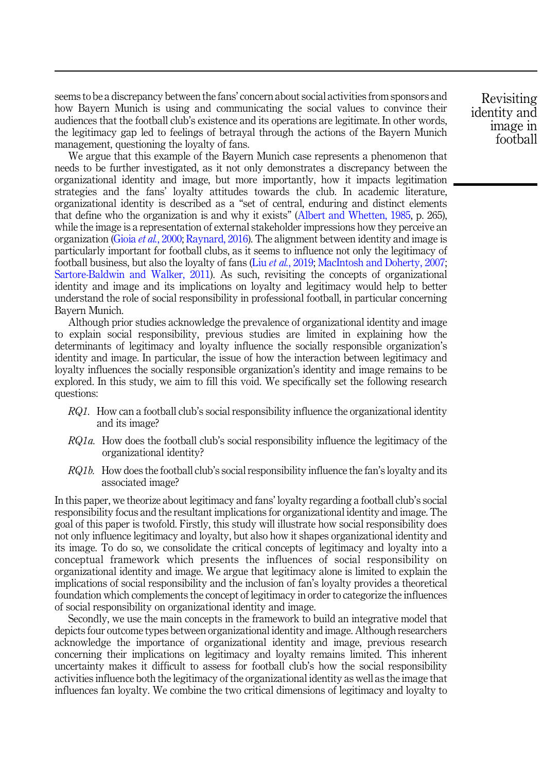seems to be a discrepancy between the fans' concern about social activities from sponsors and how Bayern Munich is using and communicating the social values to convince their audiences that the football club's existence and its operations are legitimate. In other words, the legitimacy gap led to feelings of betrayal through the actions of the Bayern Munich management, questioning the loyalty of fans.

We argue that this example of the Bayern Munich case represents a phenomenon that needs to be further investigated, as it not only demonstrates a discrepancy between the organizational identity and image, but more importantly, how it impacts legitimation strategies and the fans' loyalty attitudes towards the club. In academic literature, organizational identity is described as a "set of central, enduring and distinct elements that define who the organization is and why it exists" [\(Albert and Whetten, 1985,](#page-12-0) p. 265), while the image is a representation of external stakeholder impressions how they perceive an organization (Gioia et al.[, 2000](#page-13-0); [Raynard, 2016\)](#page-15-0). The alignment between identity and image is particularly important for football clubs, as it seems to influence not only the legitimacy of football business, but also the loyalty of fans (Liu *et al.*[, 2019](#page-14-0); [MacIntosh and Doherty, 2007](#page-14-0); [Sartore-Baldwin and Walker, 2011](#page-16-0)). As such, revisiting the concepts of organizational identity and image and its implications on loyalty and legitimacy would help to better understand the role of social responsibility in professional football, in particular concerning Bayern Munich.

Although prior studies acknowledge the prevalence of organizational identity and image to explain social responsibility, previous studies are limited in explaining how the determinants of legitimacy and loyalty influence the socially responsible organization's identity and image. In particular, the issue of how the interaction between legitimacy and loyalty influences the socially responsible organization's identity and image remains to be explored. In this study, we aim to fill this void. We specifically set the following research questions:

- $RQ1$ . How can a football club's social responsibility influence the organizational identity and its image?
- RQ1a. How does the football club's social responsibility influence the legitimacy of the organizational identity?
- RQ1b. How does the football club's social responsibility influence the fan's loyalty and its associated image?

In this paper, we theorize about legitimacy and fans' loyalty regarding a football club's social responsibility focus and the resultant implications for organizational identity and image. The goal of this paper is twofold. Firstly, this study will illustrate how social responsibility does not only influence legitimacy and loyalty, but also how it shapes organizational identity and its image. To do so, we consolidate the critical concepts of legitimacy and loyalty into a conceptual framework which presents the influences of social responsibility on organizational identity and image. We argue that legitimacy alone is limited to explain the implications of social responsibility and the inclusion of fan's loyalty provides a theoretical foundation which complements the concept of legitimacy in order to categorize the influences of social responsibility on organizational identity and image.

Secondly, we use the main concepts in the framework to build an integrative model that depicts four outcome types between organizational identity and image. Although researchers acknowledge the importance of organizational identity and image, previous research concerning their implications on legitimacy and loyalty remains limited. This inherent uncertainty makes it difficult to assess for football club's how the social responsibility activities influence both the legitimacy of the organizational identity as well as the image that influences fan loyalty. We combine the two critical dimensions of legitimacy and loyalty to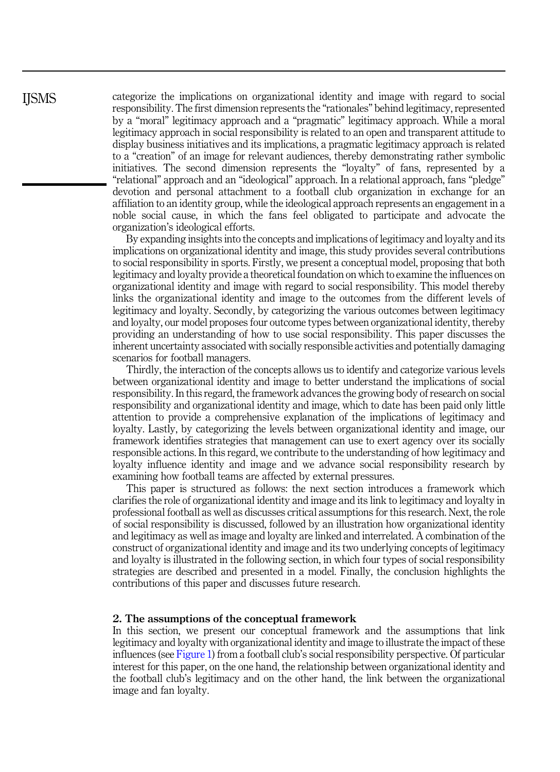categorize the implications on organizational identity and image with regard to social responsibility. The first dimension represents the "rationales" behind legitimacy, represented by a "moral" legitimacy approach and a "pragmatic" legitimacy approach. While a moral legitimacy approach in social responsibility is related to an open and transparent attitude to display business initiatives and its implications, a pragmatic legitimacy approach is related to a "creation" of an image for relevant audiences, thereby demonstrating rather symbolic initiatives. The second dimension represents the "loyalty" of fans, represented by a "relational" approach and an "ideological" approach. In a relational approach, fans "pledge" devotion and personal attachment to a football club organization in exchange for an affiliation to an identity group, while the ideological approach represents an engagement in a noble social cause, in which the fans feel obligated to participate and advocate the organization's ideological efforts.

By expanding insights into the concepts and implications of legitimacy and loyalty and its implications on organizational identity and image, this study provides several contributions to social responsibility in sports. Firstly, we present a conceptual model, proposing that both legitimacy and loyalty provide a theoretical foundation on which to examine the influences on organizational identity and image with regard to social responsibility. This model thereby links the organizational identity and image to the outcomes from the different levels of legitimacy and loyalty. Secondly, by categorizing the various outcomes between legitimacy and loyalty, our model proposes four outcome types between organizational identity, thereby providing an understanding of how to use social responsibility. This paper discusses the inherent uncertainty associated with socially responsible activities and potentially damaging scenarios for football managers.

Thirdly, the interaction of the concepts allows us to identify and categorize various levels between organizational identity and image to better understand the implications of social responsibility. In this regard, the framework advances the growing body of research on social responsibility and organizational identity and image, which to date has been paid only little attention to provide a comprehensive explanation of the implications of legitimacy and loyalty. Lastly, by categorizing the levels between organizational identity and image, our framework identifies strategies that management can use to exert agency over its socially responsible actions. In this regard, we contribute to the understanding of how legitimacy and loyalty influence identity and image and we advance social responsibility research by examining how football teams are affected by external pressures.

This paper is structured as follows: the next section introduces a framework which clarifies the role of organizational identity and image and its link to legitimacy and loyalty in professional football as well as discusses critical assumptions for this research. Next, the role of social responsibility is discussed, followed by an illustration how organizational identity and legitimacy as well as image and loyalty are linked and interrelated. A combination of the construct of organizational identity and image and its two underlying concepts of legitimacy and loyalty is illustrated in the following section, in which four types of social responsibility strategies are described and presented in a model. Finally, the conclusion highlights the contributions of this paper and discusses future research.

#### 2. The assumptions of the conceptual framework

In this section, we present our conceptual framework and the assumptions that link legitimacy and loyalty with organizational identity and image to illustrate the impact of these influences (see [Figure 1\)](#page-4-0) from a football club's social responsibility perspective. Of particular interest for this paper, on the one hand, the relationship between organizational identity and the football club's legitimacy and on the other hand, the link between the organizational image and fan loyalty.

**IISMS**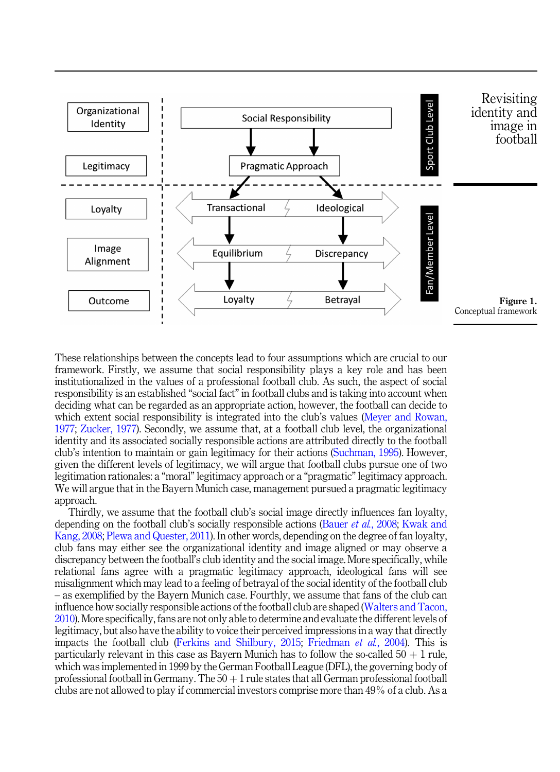<span id="page-4-0"></span>

These relationships between the concepts lead to four assumptions which are crucial to our framework. Firstly, we assume that social responsibility plays a key role and has been institutionalized in the values of a professional football club. As such, the aspect of social responsibility is an established "social fact" in football clubs and is taking into account when deciding what can be regarded as an appropriate action, however, the football can decide to which extent social responsibility is integrated into the club's values ([Meyer and Rowan,](#page-15-0) [1977;](#page-15-0) [Zucker, 1977](#page-17-0)). Secondly, we assume that, at a football club level, the organizational identity and its associated socially responsible actions are attributed directly to the football club's intention to maintain or gain legitimacy for their actions ([Suchman, 1995](#page-16-0)). However, given the different levels of legitimacy, we will argue that football clubs pursue one of two legitimation rationales: a "moral" legitimacy approach or a "pragmatic" legitimacy approach. We will argue that in the Bayern Munich case, management pursued a pragmatic legitimacy approach.

Thirdly, we assume that the football club's social image directly influences fan loyalty, depending on the football club's socially responsible actions (Bauer *et al.*[, 2008;](#page-12-0) [Kwak and](#page-14-0) [Kang, 2008](#page-14-0); [Plewa and Quester, 2011](#page-15-0)). In other words, depending on the degree of fan loyalty, club fans may either see the organizational identity and image aligned or may observe a discrepancy between the football's club identity and the social image. More specifically, while relational fans agree with a pragmatic legitimacy approach, ideological fans will see misalignment which may lead to a feeling of betrayal of the social identity of the football club – as exemplified by the Bayern Munich case. Fourthly, we assume that fans of the club can influence how socially responsible actions of the football club are shaped ([Walters and Tacon,](#page-17-0) [2010\)](#page-17-0). More specifically, fans are not only able to determine and evaluate the different levels of legitimacy, but also have the ability to voice their perceived impressions in a way that directly impacts the football club ([Ferkins and Shilbury, 2015](#page-13-0); [Friedman](#page-13-0) et al., 2004). This is particularly relevant in this case as Bayern Munich has to follow the so-called  $50 + 1$  rule, which was implemented in 1999 by the German Football League (DFL), the governing body of professional football in Germany. The  $50 + 1$  rule states that all German professional football clubs are not allowed to play if commercial investors comprise more than 49% of a club. As a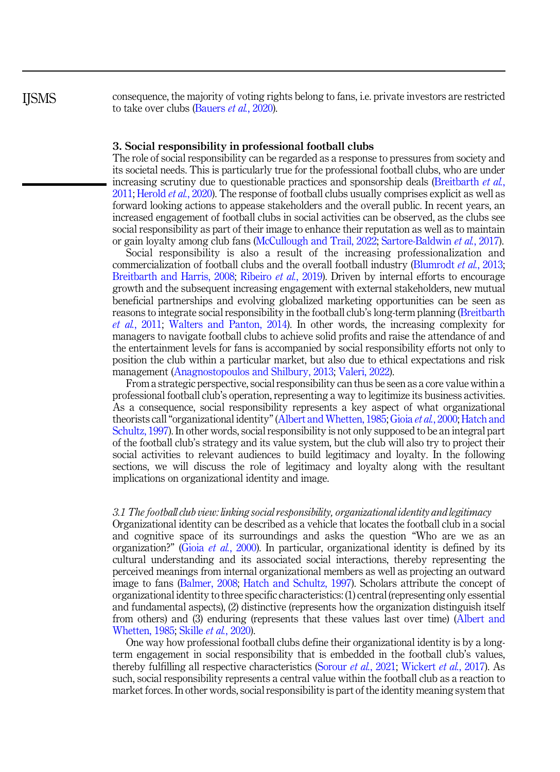**IISMS** 

consequence, the majority of voting rights belong to fans, i.e. private investors are restricted to take over clubs ([Bauers](#page-13-0) *et al.*, 2020).

## 3. Social responsibility in professional football clubs

The role of social responsibility can be regarded as a response to pressures from society and its societal needs. This is particularly true for the professional football clubs, who are under increasing scrutiny due to questionable practices and sponsorship deals ([Breitbarth](#page-13-0) *et al.*, [2011;](#page-13-0) [Herold](#page-14-0) *et al.*, 2020). The response of football clubs usually comprises explicit as well as forward looking actions to appease stakeholders and the overall public. In recent years, an increased engagement of football clubs in social activities can be observed, as the clubs see social responsibility as part of their image to enhance their reputation as well as to maintain or gain loyalty among club fans ([McCullough and Trail, 2022;](#page-14-0) [Sartore-Baldwin](#page-16-0) et al., 2017).

Social responsibility is also a result of the increasing professionalization and commercialization of football clubs and the overall football industry [\(Blumrodt](#page-13-0) *et al.*, 2013; [Breitbarth and Harris, 2008;](#page-13-0) [Ribeiro](#page-15-0) *et al.*, 2019). Driven by internal efforts to encourage growth and the subsequent increasing engagement with external stakeholders, new mutual beneficial partnerships and evolving globalized marketing opportunities can be seen as reasons to integrate social responsibility in the football club's long-term planning ([Breitbarth](#page-13-0) et al.[, 2011;](#page-13-0) [Walters and Panton, 2014](#page-16-0)). In other words, the increasing complexity for managers to navigate football clubs to achieve solid profits and raise the attendance of and the entertainment levels for fans is accompanied by social responsibility efforts not only to position the club within a particular market, but also due to ethical expectations and risk management [\(Anagnostopoulos and Shilbury, 2013](#page-12-0); [Valeri, 2022](#page-16-0)).

From a strategic perspective, social responsibility can thus be seen as a core value within a professional football club's operation, representing a way to legitimize its business activities. As a consequence, social responsibility represents a key aspect of what organizational theorists call"organizational identity"([Albert and Whetten, 1985](#page-12-0); Gioia et al.[, 2000](#page-13-0); [Hatch and](#page-14-0) [Schultz, 1997\)](#page-14-0). In other words, social responsibility is not only supposed to be an integral part of the football club's strategy and its value system, but the club will also try to project their social activities to relevant audiences to build legitimacy and loyalty. In the following sections, we will discuss the role of legitimacy and loyalty along with the resultant implications on organizational identity and image.

## 3.1 The football club view: linking social responsibility, organizational identity and legitimacy

Organizational identity can be described as a vehicle that locates the football club in a social and cognitive space of its surroundings and asks the question "Who are we as an organization?" (Gioia et al.[, 2000\)](#page-13-0). In particular, organizational identity is defined by its cultural understanding and its associated social interactions, thereby representing the perceived meanings from internal organizational members as well as projecting an outward image to fans ([Balmer, 2008](#page-12-0); [Hatch and Schultz, 1997\)](#page-14-0). Scholars attribute the concept of organizational identity to three specific characteristics: (1) central (representing only essential and fundamental aspects), (2) distinctive (represents how the organization distinguish itself from others) and (3) enduring (represents that these values last over time) [\(Albert and](#page-12-0) [Whetten, 1985;](#page-12-0) Skille et al.[, 2020\)](#page-16-0).

One way how professional football clubs define their organizational identity is by a longterm engagement in social responsibility that is embedded in the football club's values, thereby fulfilling all respective characteristics [\(Sorour](#page-16-0) et al., 2021; [Wickert](#page-17-0) et al., 2017). As such, social responsibility represents a central value within the football club as a reaction to market forces. In other words, social responsibility is part of the identity meaning system that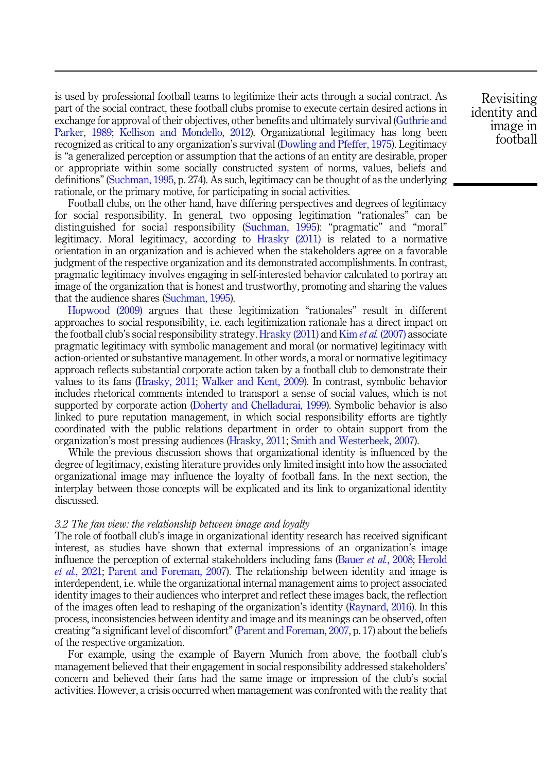is used by professional football teams to legitimize their acts through a social contract. As part of the social contract, these football clubs promise to execute certain desired actions in exchange for approval of their objectives, other benefits and ultimately survival [\(Guthrie and](#page-14-0) [Parker, 1989;](#page-14-0) [Kellison and Mondello, 2012\)](#page-14-0). Organizational legitimacy has long been recognized as critical to any organization's survival ([Dowling and Pfeffer, 1975](#page-13-0)). Legitimacy is "a generalized perception or assumption that the actions of an entity are desirable, proper or appropriate within some socially constructed system of norms, values, beliefs and definitions" [\(Suchman, 1995](#page-16-0), p. 274). As such, legitimacy can be thought of as the underlying rationale, or the primary motive, for participating in social activities.

Football clubs, on the other hand, have differing perspectives and degrees of legitimacy for social responsibility. In general, two opposing legitimation "rationales" can be distinguished for social responsibility [\(Suchman, 1995](#page-16-0)): "pragmatic" and "moral" legitimacy. Moral legitimacy, according to [Hrasky \(2011\)](#page-14-0) is related to a normative orientation in an organization and is achieved when the stakeholders agree on a favorable judgment of the respective organization and its demonstrated accomplishments. In contrast, pragmatic legitimacy involves engaging in self-interested behavior calculated to portray an image of the organization that is honest and trustworthy, promoting and sharing the values that the audience shares ([Suchman, 1995\)](#page-16-0).

[Hopwood \(2009\)](#page-14-0) argues that these legitimization "rationales" result in different approaches to social responsibility, i.e. each legitimization rationale has a direct impact on the football club's social responsibility strategy. [Hrasky \(2011\)](#page-14-0) and Kim *et al.* [\(2007\)](#page-14-0) associate pragmatic legitimacy with symbolic management and moral (or normative) legitimacy with action-oriented or substantive management. In other words, a moral or normative legitimacy approach reflects substantial corporate action taken by a football club to demonstrate their values to its fans ([Hrasky, 2011;](#page-14-0) [Walker and Kent, 2009\)](#page-16-0). In contrast, symbolic behavior includes rhetorical comments intended to transport a sense of social values, which is not supported by corporate action [\(Doherty and Chelladurai, 1999\)](#page-13-0). Symbolic behavior is also linked to pure reputation management, in which social responsibility efforts are tightly coordinated with the public relations department in order to obtain support from the organization's most pressing audiences [\(Hrasky, 2011](#page-14-0); [Smith and Westerbeek, 2007](#page-16-0)).

While the previous discussion shows that organizational identity is influenced by the degree of legitimacy, existing literature provides only limited insight into how the associated organizational image may influence the loyalty of football fans. In the next section, the interplay between those concepts will be explicated and its link to organizational identity discussed.

#### 3.2 The fan view: the relationship between image and loyalty

The role of football club's image in organizational identity research has received significant interest, as studies have shown that external impressions of an organization's image influence the perception of external stakeholders including fans [\(Bauer](#page-12-0) et al., 2008; [Herold](#page-14-0) et al.[, 2021](#page-14-0); [Parent and Foreman, 2007\)](#page-15-0). The relationship between identity and image is interdependent, i.e. while the organizational internal management aims to project associated identity images to their audiences who interpret and reflect these images back, the reflection of the images often lead to reshaping of the organization's identity [\(Raynard, 2016\)](#page-15-0). In this process, inconsistencies between identity and image and its meanings can be observed, often creating "a significant level of discomfort"[\(Parent and Foreman, 2007](#page-15-0), p. 17) about the beliefs of the respective organization.

For example, using the example of Bayern Munich from above, the football club's management believed that their engagement in social responsibility addressed stakeholders' concern and believed their fans had the same image or impression of the club's social activities. However, a crisis occurred when management was confronted with the reality that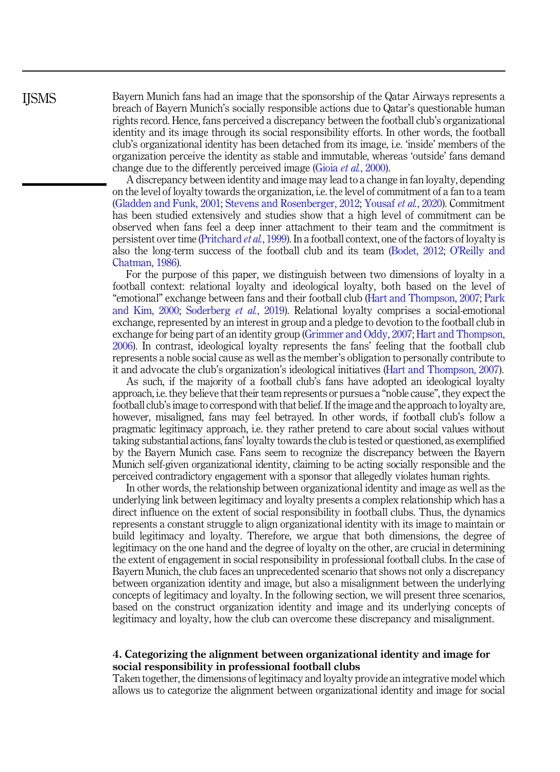Bayern Munich fans had an image that the sponsorship of the Qatar Airways represents a breach of Bayern Munich's socially responsible actions due to Qatar's questionable human rights record. Hence, fans perceived a discrepancy between the football club's organizational identity and its image through its social responsibility efforts. In other words, the football club's organizational identity has been detached from its image, i.e. 'inside' members of the organization perceive the identity as stable and immutable, whereas 'outside' fans demand change due to the differently perceived image (Gioia *et al.*[, 2000\)](#page-13-0).

A discrepancy between identity and image may lead to a change in fan loyalty, depending on the level of loyalty towards the organization, i.e. the level of commitment of a fan to a team ([Gladden and Funk, 2001;](#page-13-0) [Stevens and Rosenberger, 2012;](#page-16-0) [Yousaf](#page-17-0) et al., 2020). Commitment has been studied extensively and studies show that a high level of commitment can be observed when fans feel a deep inner attachment to their team and the commitment is persistent over time [\(Pritchard](#page-15-0) et al., 1999). In a football context, one of the factors of loyalty is also the long-term success of the football club and its team ([Bodet, 2012;](#page-13-0) O'[Reilly and](#page-15-0) [Chatman, 1986\)](#page-15-0).

For the purpose of this paper, we distinguish between two dimensions of loyalty in a football context: relational loyalty and ideological loyalty, both based on the level of "emotional" exchange between fans and their football club ([Hart and Thompson, 2007;](#page-14-0) [Park](#page-15-0) [and Kim, 2000;](#page-15-0) [Soderberg](#page-16-0) et al., 2019). Relational loyalty comprises a social-emotional exchange, represented by an interest in group and a pledge to devotion to the football club in exchange for being part of an identity group ([Grimmer and Oddy, 2007](#page-13-0); [Hart and Thompson,](#page-14-0) [2006\)](#page-14-0). In contrast, ideological loyalty represents the fans' feeling that the football club represents a noble social cause as well as the member's obligation to personally contribute to it and advocate the club's organization's ideological initiatives [\(Hart and Thompson, 2007\)](#page-14-0).

As such, if the majority of a football club's fans have adopted an ideological loyalty approach, i.e. they believe that their team represents or pursues a "noble cause", they expect the football club's image to correspond with that belief. If the image and the approach to loyalty are, however, misaligned, fans may feel betrayed. In other words, if football club's follow a pragmatic legitimacy approach, i.e. they rather pretend to care about social values without taking substantial actions, fans' loyalty towards the club is tested or questioned, as exemplified by the Bayern Munich case. Fans seem to recognize the discrepancy between the Bayern Munich self-given organizational identity, claiming to be acting socially responsible and the perceived contradictory engagement with a sponsor that allegedly violates human rights.

In other words, the relationship between organizational identity and image as well as the underlying link between legitimacy and loyalty presents a complex relationship which has a direct influence on the extent of social responsibility in football clubs. Thus, the dynamics represents a constant struggle to align organizational identity with its image to maintain or build legitimacy and loyalty. Therefore, we argue that both dimensions, the degree of legitimacy on the one hand and the degree of loyalty on the other, are crucial in determining the extent of engagement in social responsibility in professional football clubs. In the case of Bayern Munich, the club faces an unprecedented scenario that shows not only a discrepancy between organization identity and image, but also a misalignment between the underlying concepts of legitimacy and loyalty. In the following section, we will present three scenarios, based on the construct organization identity and image and its underlying concepts of legitimacy and loyalty, how the club can overcome these discrepancy and misalignment.

## 4. Categorizing the alignment between organizational identity and image for social responsibility in professional football clubs

Taken together, the dimensions of legitimacy and loyalty provide an integrative model which allows us to categorize the alignment between organizational identity and image for social

**IISMS**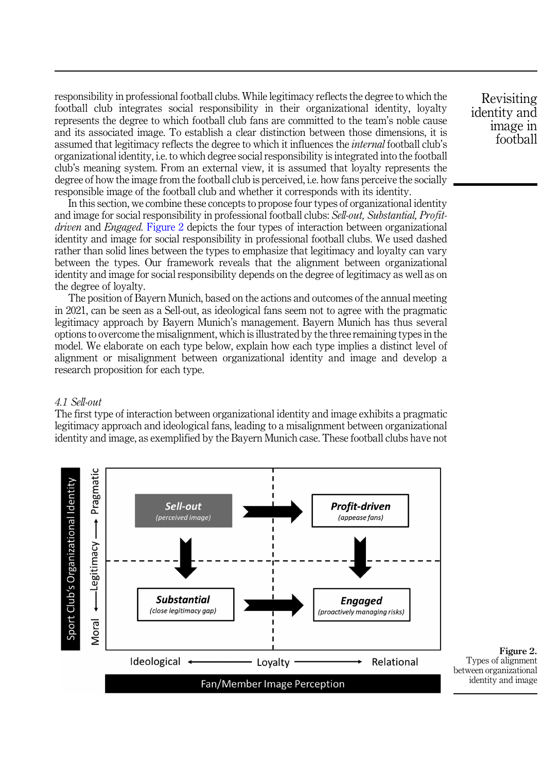responsibility in professional football clubs. While legitimacy reflects the degree to which the football club integrates social responsibility in their organizational identity, loyalty represents the degree to which football club fans are committed to the team's noble cause and its associated image. To establish a clear distinction between those dimensions, it is assumed that legitimacy reflects the degree to which it influences the internal football club's organizational identity, i.e. to which degree social responsibility is integrated into the football club's meaning system. From an external view, it is assumed that loyalty represents the degree of how the image from the football club is perceived, i.e. how fans perceive the socially responsible image of the football club and whether it corresponds with its identity.

In this section, we combine these concepts to propose four types of organizational identity and image for social responsibility in professional football clubs: Sell-out, Substantial, Profitdriven and Engaged. Figure 2 depicts the four types of interaction between organizational identity and image for social responsibility in professional football clubs. We used dashed rather than solid lines between the types to emphasize that legitimacy and loyalty can vary between the types. Our framework reveals that the alignment between organizational identity and image for social responsibility depends on the degree of legitimacy as well as on the degree of loyalty.

The position of Bayern Munich, based on the actions and outcomes of the annual meeting in 2021, can be seen as a Sell-out, as ideological fans seem not to agree with the pragmatic legitimacy approach by Bayern Munich's management. Bayern Munich has thus several options to overcome the misalignment, which is illustrated by the three remaining types in the model. We elaborate on each type below, explain how each type implies a distinct level of alignment or misalignment between organizational identity and image and develop a research proposition for each type.

## 4.1 Sell-out

The first type of interaction between organizational identity and image exhibits a pragmatic legitimacy approach and ideological fans, leading to a misalignment between organizational identity and image, as exemplified by the Bayern Munich case. These football clubs have not



Revisiting identity and image in football

Figure 2.

identity and image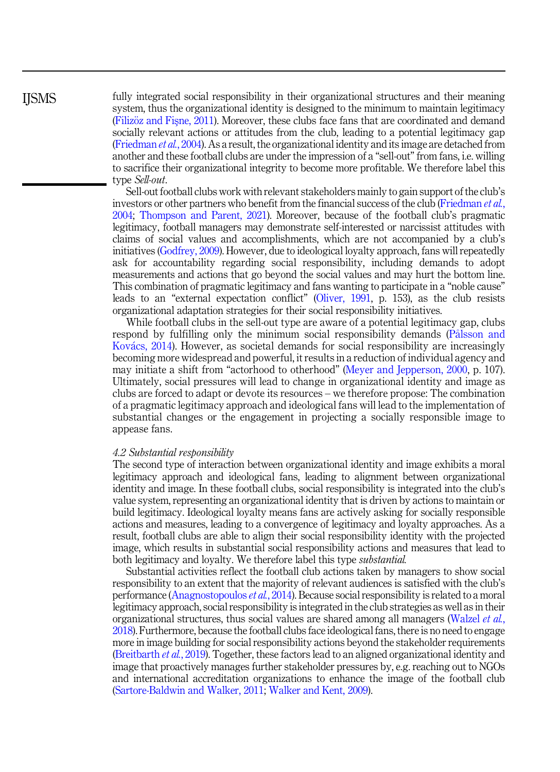**IISMS** 

fully integrated social responsibility in their organizational structures and their meaning system, thus the organizational identity is designed to the minimum to maintain legitimacy ([Filiz](#page-13-0)öz and Fis[ne, 2011\)](#page-13-0). Moreover, these clubs face fans that are coordinated and demand socially relevant actions or attitudes from the club, leading to a potential legitimacy gap ([Friedman](#page-13-0) et al., 2004). As a result, the organizational identity and its image are detached from another and these football clubs are under the impression of a "sell-out" from fans, i.e. willing to sacrifice their organizational integrity to become more profitable. We therefore label this type Sell-out.

Sell-out football clubs work with relevant stakeholders mainly to gain support of the club's investors or other partners who benefit from the financial success of the club ([Friedman](#page-13-0) et al., [2004;](#page-13-0) [Thompson and Parent, 2021](#page-16-0)). Moreover, because of the football club's pragmatic legitimacy, football managers may demonstrate self-interested or narcissist attitudes with claims of social values and accomplishments, which are not accompanied by a club's initiatives ([Godfrey, 2009](#page-13-0)). However, due to ideological loyalty approach, fans will repeatedly ask for accountability regarding social responsibility, including demands to adopt measurements and actions that go beyond the social values and may hurt the bottom line. This combination of pragmatic legitimacy and fans wanting to participate in a "noble cause" leads to an "external expectation conflict" ([Oliver, 1991,](#page-15-0) p. 153), as the club resists organizational adaptation strategies for their social responsibility initiatives.

While football clubs in the sell-out type are aware of a potential legitimacy gap, clubs respond by fulfilling only the minimum social responsibility demands ([P](#page-15-0)å[lsson and](#page-15-0) [Kov](#page-15-0)á[cs, 2014\)](#page-15-0). However, as societal demands for social responsibility are increasingly becoming more widespread and powerful, it results in a reduction of individual agency and may initiate a shift from "actorhood to otherhood" ([Meyer and Jepperson, 2000,](#page-15-0) p. 107). Ultimately, social pressures will lead to change in organizational identity and image as clubs are forced to adapt or devote its resources – we therefore propose: The combination of a pragmatic legitimacy approach and ideological fans will lead to the implementation of substantial changes or the engagement in projecting a socially responsible image to appease fans.

## 4.2 Substantial responsibility

The second type of interaction between organizational identity and image exhibits a moral legitimacy approach and ideological fans, leading to alignment between organizational identity and image. In these football clubs, social responsibility is integrated into the club's value system, representing an organizational identity that is driven by actions to maintain or build legitimacy. Ideological loyalty means fans are actively asking for socially responsible actions and measures, leading to a convergence of legitimacy and loyalty approaches. As a result, football clubs are able to align their social responsibility identity with the projected image, which results in substantial social responsibility actions and measures that lead to both legitimacy and loyalty. We therefore label this type substantial.

Substantial activities reflect the football club actions taken by managers to show social responsibility to an extent that the majority of relevant audiences is satisfied with the club's performance ([Anagnostopoulos](#page-12-0) et al., 2014). Because social responsibility is related to a moral legitimacy approach, social responsibility is integrated in the club strategies as well as in their organizational structures, thus social values are shared among all managers ([Walzel](#page-17-0) et al., [2018\)](#page-17-0). Furthermore, because the football clubs face ideological fans, there is no need to engage more in image building for social responsibility actions beyond the stakeholder requirements ([Breitbarth](#page-13-0) et al., 2019). Together, these factors lead to an aligned organizational identity and image that proactively manages further stakeholder pressures by, e.g. reaching out to NGOs and international accreditation organizations to enhance the image of the football club ([Sartore-Baldwin and Walker, 2011;](#page-16-0) [Walker and Kent, 2009](#page-16-0)).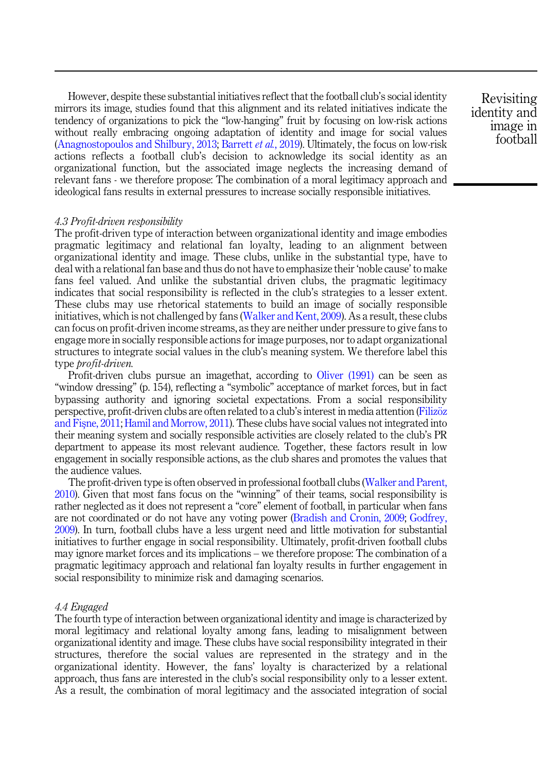However, despite these substantial initiatives reflect that the football club's social identity mirrors its image, studies found that this alignment and its related initiatives indicate the tendency of organizations to pick the "low-hanging" fruit by focusing on low-risk actions without really embracing ongoing adaptation of identity and image for social values ([Anagnostopoulos and Shilbury, 2013](#page-12-0); [Barrett](#page-12-0) et al., 2019). Ultimately, the focus on low-risk actions reflects a football club's decision to acknowledge its social identity as an organizational function, but the associated image neglects the increasing demand of relevant fans - we therefore propose: The combination of a moral legitimacy approach and ideological fans results in external pressures to increase socially responsible initiatives.

Revisiting identity and image in football

## 4.3 Profit-driven responsibility

The profit-driven type of interaction between organizational identity and image embodies pragmatic legitimacy and relational fan loyalty, leading to an alignment between organizational identity and image. These clubs, unlike in the substantial type, have to deal with a relational fan base and thus do not have to emphasize their'noble cause' to make fans feel valued. And unlike the substantial driven clubs, the pragmatic legitimacy indicates that social responsibility is reflected in the club's strategies to a lesser extent. These clubs may use rhetorical statements to build an image of socially responsible initiatives, which is not challenged by fans ([Walker and Kent, 2009\)](#page-16-0). As a result, these clubs can focus on profit-driven income streams, as they are neither under pressure to give fans to engage more in socially responsible actions for image purposes, nor to adapt organizational structures to integrate social values in the club's meaning system. We therefore label this type *brofit-driven*.

Profit-driven clubs pursue an imagethat, according to [Oliver \(1991\)](#page-15-0) can be seen as "window dressing" (p. 154), reflecting a "symbolic" acceptance of market forces, but in fact bypassing authority and ignoring societal expectations. From a social responsibility perspective, profit-driven clubs are often related to a club's interest in media attention [\(Filiz](#page-13-0)öz [and Fis](#page-13-0)[ne, 2011](#page-13-0); [Hamil and Morrow, 2011](#page-14-0)). These clubs have social values not integrated into their meaning system and socially responsible activities are closely related to the club's PR department to appease its most relevant audience. Together, these factors result in low engagement in socially responsible actions, as the club shares and promotes the values that the audience values.

The profit-driven type is often observed in professional football clubs [\(Walker and Parent,](#page-16-0) [2010\)](#page-16-0). Given that most fans focus on the "winning" of their teams, social responsibility is rather neglected as it does not represent a "core" element of football, in particular when fans are not coordinated or do not have any voting power [\(Bradish and Cronin, 2009](#page-13-0); [Godfrey,](#page-13-0) [2009\)](#page-13-0). In turn, football clubs have a less urgent need and little motivation for substantial initiatives to further engage in social responsibility. Ultimately, profit-driven football clubs may ignore market forces and its implications – we therefore propose: The combination of a pragmatic legitimacy approach and relational fan loyalty results in further engagement in social responsibility to minimize risk and damaging scenarios.

#### 4.4 Engaged

The fourth type of interaction between organizational identity and image is characterized by moral legitimacy and relational loyalty among fans, leading to misalignment between organizational identity and image. These clubs have social responsibility integrated in their structures, therefore the social values are represented in the strategy and in the organizational identity. However, the fans' loyalty is characterized by a relational approach, thus fans are interested in the club's social responsibility only to a lesser extent. As a result, the combination of moral legitimacy and the associated integration of social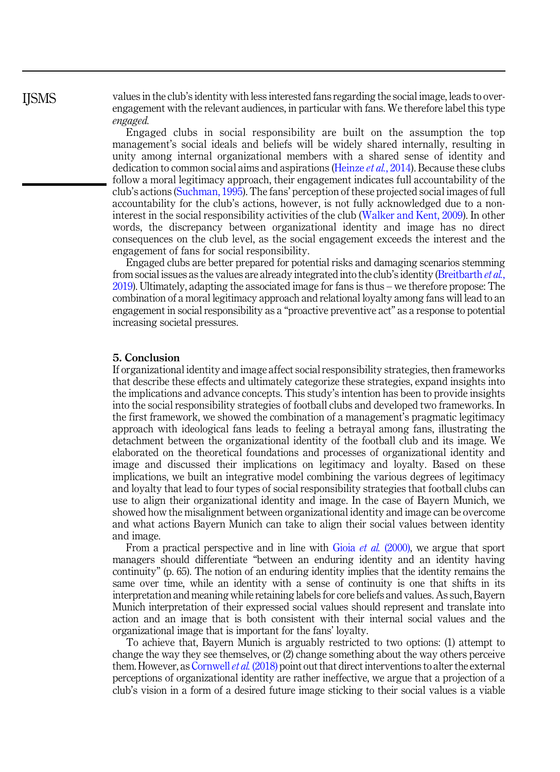values in the club's identity with less interested fans regarding the social image, leads to overengagement with the relevant audiences, in particular with fans. We therefore label this type engaged.

Engaged clubs in social responsibility are built on the assumption the top management's social ideals and beliefs will be widely shared internally, resulting in unity among internal organizational members with a shared sense of identity and dedication to common social aims and aspirations ([Heinze](#page-14-0) *et al.*, 2014). Because these clubs follow a moral legitimacy approach, their engagement indicates full accountability of the club's actions ([Suchman, 1995\)](#page-16-0). The fans' perception of these projected social images of full accountability for the club's actions, however, is not fully acknowledged due to a noninterest in the social responsibility activities of the club ([Walker and Kent, 2009\)](#page-16-0). In other words, the discrepancy between organizational identity and image has no direct consequences on the club level, as the social engagement exceeds the interest and the engagement of fans for social responsibility.

Engaged clubs are better prepared for potential risks and damaging scenarios stemming from social issues as the values are already integrated into the club's identity ([Breitbarth](#page-13-0) *et al.*, [2019\)](#page-13-0). Ultimately, adapting the associated image for fans is thus – we therefore propose: The combination of a moral legitimacy approach and relational loyalty among fans will lead to an engagement in social responsibility as a "proactive preventive act" as a response to potential increasing societal pressures.

## 5. Conclusion

If organizational identity and image affect social responsibility strategies, then frameworks that describe these effects and ultimately categorize these strategies, expand insights into the implications and advance concepts. This study's intention has been to provide insights into the social responsibility strategies of football clubs and developed two frameworks. In the first framework, we showed the combination of a management's pragmatic legitimacy approach with ideological fans leads to feeling a betrayal among fans, illustrating the detachment between the organizational identity of the football club and its image. We elaborated on the theoretical foundations and processes of organizational identity and image and discussed their implications on legitimacy and loyalty. Based on these implications, we built an integrative model combining the various degrees of legitimacy and loyalty that lead to four types of social responsibility strategies that football clubs can use to align their organizational identity and image. In the case of Bayern Munich, we showed how the misalignment between organizational identity and image can be overcome and what actions Bayern Munich can take to align their social values between identity and image.

From a practical perspective and in line with Gioia *et al.* [\(2000\)](#page-13-0), we argue that sport managers should differentiate "between an enduring identity and an identity having continuity" (p. 65). The notion of an enduring identity implies that the identity remains the same over time, while an identity with a sense of continuity is one that shifts in its interpretation and meaning while retaining labels for core beliefs and values. As such, Bayern Munich interpretation of their expressed social values should represent and translate into action and an image that is both consistent with their internal social values and the organizational image that is important for the fans' loyalty.

To achieve that, Bayern Munich is arguably restricted to two options: (1) attempt to change the way they see themselves, or (2) change something about the way others perceive them. However, as [Cornwell](#page-13-0) et al. (2018) point out that direct interventions to alter the external perceptions of organizational identity are rather ineffective, we argue that a projection of a club's vision in a form of a desired future image sticking to their social values is a viable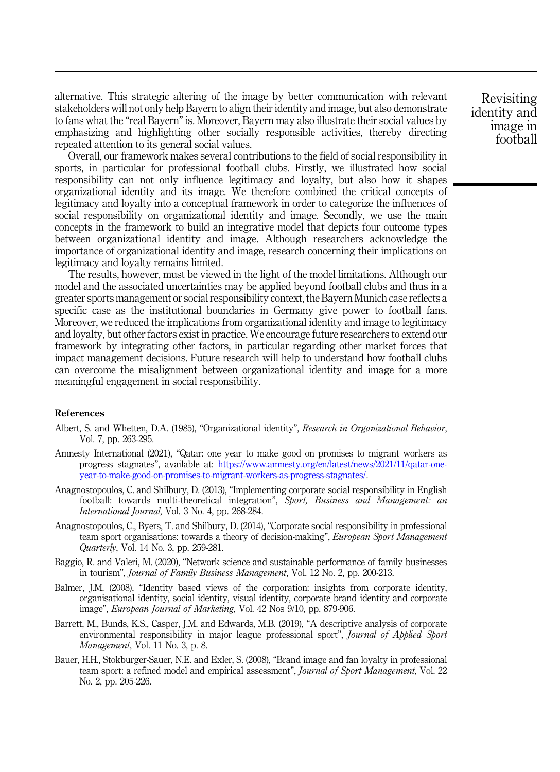<span id="page-12-0"></span>alternative. This strategic altering of the image by better communication with relevant stakeholders will not only help Bayern to align their identity and image, but also demonstrate to fans what the "real Bayern" is. Moreover, Bayern may also illustrate their social values by emphasizing and highlighting other socially responsible activities, thereby directing repeated attention to its general social values.

Overall, our framework makes several contributions to the field of social responsibility in sports, in particular for professional football clubs. Firstly, we illustrated how social responsibility can not only influence legitimacy and loyalty, but also how it shapes organizational identity and its image. We therefore combined the critical concepts of legitimacy and loyalty into a conceptual framework in order to categorize the influences of social responsibility on organizational identity and image. Secondly, we use the main concepts in the framework to build an integrative model that depicts four outcome types between organizational identity and image. Although researchers acknowledge the importance of organizational identity and image, research concerning their implications on legitimacy and loyalty remains limited.

The results, however, must be viewed in the light of the model limitations. Although our model and the associated uncertainties may be applied beyond football clubs and thus in a greater sports management or social responsibility context, the Bayern Munich case reflects a specific case as the institutional boundaries in Germany give power to football fans. Moreover, we reduced the implications from organizational identity and image to legitimacy and loyalty, but other factors exist in practice. We encourage future researchers to extend our framework by integrating other factors, in particular regarding other market forces that impact management decisions. Future research will help to understand how football clubs can overcome the misalignment between organizational identity and image for a more meaningful engagement in social responsibility.

## References

- Albert, S. and Whetten, D.A. (1985), "Organizational identity", Research in Organizational Behavior, Vol. 7, pp. 263-295.
- Amnesty International (2021), "Qatar: one year to make good on promises to migrant workers as progress stagnates", available at: [https://www.amnesty.org/en/latest/news/2021/11/qatar-one](https://www.amnesty.org/en/latest/news/2021/11/qatar-one-year-to-make-good-on-promises-to-migrant-workers-as-progress-stagnates/)[year-to-make-good-on-promises-to-migrant-workers-as-progress-stagnates/.](https://www.amnesty.org/en/latest/news/2021/11/qatar-one-year-to-make-good-on-promises-to-migrant-workers-as-progress-stagnates/)
- Anagnostopoulos, C. and Shilbury, D. (2013), "Implementing corporate social responsibility in English football: towards multi-theoretical integration", Sport, Business and Management: an International Journal, Vol. 3 No. 4, pp. 268-284.
- Anagnostopoulos, C., Byers, T. and Shilbury, D. (2014), "Corporate social responsibility in professional team sport organisations: towards a theory of decision-making", *European Sport Management* Quarterly, Vol. 14 No. 3, pp. 259-281.
- Baggio, R. and Valeri, M. (2020), "Network science and sustainable performance of family businesses in tourism", Journal of Family Business Management, Vol. 12 No. 2, pp. 200-213.
- Balmer, J.M. (2008), "Identity based views of the corporation: insights from corporate identity, organisational identity, social identity, visual identity, corporate brand identity and corporate image", European Journal of Marketing, Vol. 42 Nos 9/10, pp. 879-906.
- Barrett, M., Bunds, K.S., Casper, J.M. and Edwards, M.B. (2019), "A descriptive analysis of corporate environmental responsibility in major league professional sport", Journal of Applied Sport Management, Vol. 11 No. 3, p. 8.
- Bauer, H.H., Stokburger-Sauer, N.E. and Exler, S. (2008), "Brand image and fan loyalty in professional team sport: a refined model and empirical assessment", Journal of Sport Management, Vol. 22 No. 2, pp. 205-226.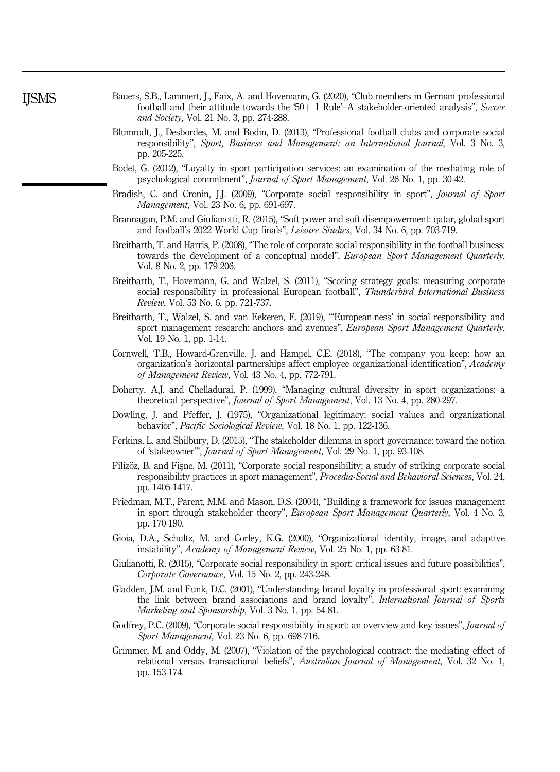- <span id="page-13-0"></span>Bauers, S.B., Lammert, J., Faix, A. and Hovemann, G. (2020), "Club members in German professional football and their attitude towards the '50 $+$  1 Rule'–A stakeholder-oriented analysis", Soccer and Society, Vol. 21 No. 3, pp. 274-288.
- Blumrodt, J., Desbordes, M. and Bodin, D. (2013), "Professional football clubs and corporate social responsibility", Sport, Business and Management: an International Journal, Vol. 3 No. 3, pp. 205-225.
- Bodet, G. (2012), "Loyalty in sport participation services: an examination of the mediating role of psychological commitment", Journal of Sport Management, Vol. 26 No. 1, pp. 30-42.
- Bradish, C. and Cronin, J.J. (2009), "Corporate social responsibility in sport", *Journal of Sport* Management, Vol. 23 No. 6, pp. 691-697.
- Brannagan, P.M. and Giulianotti, R. (2015), "Soft power and soft disempowerment: qatar, global sport and football's 2022 World Cup finals", Leisure Studies, Vol. 34 No. 6, pp. 703-719.
- Breitbarth, T. and Harris, P. (2008), "The role of corporate social responsibility in the football business: towards the development of a conceptual model", European Sport Management Quarterly, Vol. 8 No. 2, pp. 179-206.
- Breitbarth, T., Hovemann, G. and Walzel, S. (2011), "Scoring strategy goals: measuring corporate social responsibility in professional European football", Thunderbird International Business Review, Vol. 53 No. 6, pp. 721-737.
- Breitbarth, T., Walzel, S. and van Eekeren, F. (2019), "'European-ness' in social responsibility and sport management research: anchors and avenues", European Sport Management Quarterly, Vol. 19 No. 1, pp. 1-14.
- Cornwell, T.B., Howard-Grenville, J. and Hampel, C.E. (2018), "The company you keep: how an organization's horizontal partnerships affect employee organizational identification", Academy of Management Review, Vol. 43 No. 4, pp. 772-791.
- Doherty, A.J. and Chelladurai, P. (1999), "Managing cultural diversity in sport organizations: a theoretical perspective", Journal of Sport Management, Vol. 13 No. 4, pp. 280-297.
- Dowling, J. and Pfeffer, J. (1975), "Organizational legitimacy: social values and organizational behavior", Pacific Sociological Review, Vol. 18 No. 1, pp. 122-136.
- Ferkins, L. and Shilbury, D. (2015), "The stakeholder dilemma in sport governance: toward the notion of 'stakeowner'", Journal of Sport Management, Vol. 29 No. 1, pp. 93-108.
- Filizöz, B. and Fisne, M. (2011), "Corporate social responsibility: a study of striking corporate social responsibility practices in sport management", Procedia-Social and Behavioral Sciences, Vol. 24, pp. 1405-1417.
- Friedman, M.T., Parent, M.M. and Mason, D.S. (2004), "Building a framework for issues management in sport through stakeholder theory", European Sport Management Quarterly, Vol. 4 No. 3, pp. 170-190.
- Gioia, D.A., Schultz, M. and Corley, K.G. (2000), "Organizational identity, image, and adaptive instability", Academy of Management Review, Vol. 25 No. 1, pp. 63-81.
- Giulianotti, R. (2015), "Corporate social responsibility in sport: critical issues and future possibilities", Corporate Governance, Vol. 15 No. 2, pp. 243-248.
- Gladden, J.M. and Funk, D.C. (2001), "Understanding brand loyalty in professional sport: examining the link between brand associations and brand loyalty", International Journal of Sports Marketing and Sponsorship, Vol. 3 No. 1, pp. 54-81.
- Godfrey, P.C. (2009), "Corporate social responsibility in sport: an overview and key issues", *Journal of* Sport Management, Vol. 23 No. 6, pp. 698-716.
- Grimmer, M. and Oddy, M. (2007), "Violation of the psychological contract: the mediating effect of relational versus transactional beliefs", Australian Journal of Management, Vol. 32 No. 1, pp. 153-174.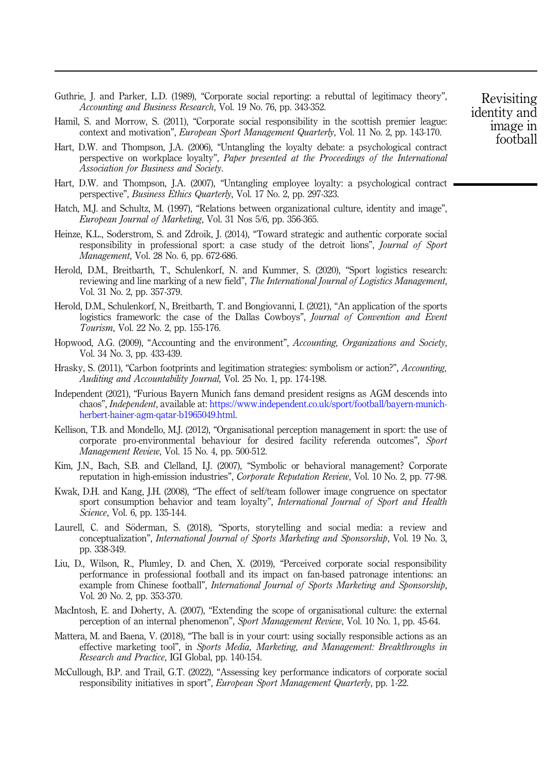- <span id="page-14-0"></span>Guthrie, J. and Parker, L.D. (1989), "Corporate social reporting: a rebuttal of legitimacy theory", Accounting and Business Research, Vol. 19 No. 76, pp. 343-352.
- Hamil, S. and Morrow, S. (2011), "Corporate social responsibility in the scottish premier league: context and motivation", European Sport Management Quarterly, Vol. 11 No. 2, pp. 143-170.
- Hart, D.W. and Thompson, J.A. (2006), "Untangling the loyalty debate: a psychological contract perspective on workplace loyalty", Paper presented at the Proceedings of the International Association for Business and Society.
- Hart, D.W. and Thompson, J.A. (2007), "Untangling employee loyalty: a psychological contract perspective", Business Ethics Quarterly, Vol. 17 No. 2, pp. 297-323.
- Hatch, M.J. and Schultz, M. (1997), "Relations between organizational culture, identity and image", European Journal of Marketing, Vol. 31 Nos 5/6, pp. 356-365.
- Heinze, K.L., Soderstrom, S. and Zdroik, J. (2014), "Toward strategic and authentic corporate social responsibility in professional sport: a case study of the detroit lions", Journal of Sport Management, Vol. 28 No. 6, pp. 672-686.
- Herold, D.M., Breitbarth, T., Schulenkorf, N. and Kummer, S. (2020), "Sport logistics research: reviewing and line marking of a new field". The International Journal of Logistics Management, Vol. 31 No. 2, pp. 357-379.
- Herold, D.M., Schulenkorf, N., Breitbarth, T. and Bongiovanni, I. (2021), "An application of the sports logistics framework: the case of the Dallas Cowboys", Journal of Convention and Event Tourism, Vol. 22 No. 2, pp. 155-176.
- Hopwood, A.G. (2009), "Accounting and the environment", Accounting, Organizations and Society, Vol. 34 No. 3, pp. 433-439.
- Hrasky, S. (2011), "Carbon footprints and legitimation strategies: symbolism or action?", Accounting, Auditing and Accountability Journal, Vol. 25 No. 1, pp. 174-198.
- Independent (2021), "Furious Bayern Munich fans demand president resigns as AGM descends into chaos", Independent, available at: [https://www.independent.co.uk/sport/football/bayern-munich](https://www.independent.co.uk/sport/football/bayern-munich-herbert-hainer-agm-qatar-b1965049.html)[herbert-hainer-agm-qatar-b1965049.html](https://www.independent.co.uk/sport/football/bayern-munich-herbert-hainer-agm-qatar-b1965049.html).
- Kellison, T.B. and Mondello, M.J. (2012), "Organisational perception management in sport: the use of corporate pro-environmental behaviour for desired facility referenda outcomes", Sport Management Review, Vol. 15 No. 4, pp. 500-512.
- Kim, J.N., Bach, S.B. and Clelland, I.J. (2007), "Symbolic or behavioral management? Corporate reputation in high-emission industries", Corporate Reputation Review, Vol. 10 No. 2, pp. 77-98.
- Kwak, D.H. and Kang, J.H. (2008), "The effect of self/team follower image congruence on spectator sport consumption behavior and team loyalty", International Journal of Sport and Health Science, Vol. 6, pp. 135-144.
- Laurell, C. and Söderman, S. (2018), "Sports, storytelling and social media: a review and conceptualization", International Journal of Sports Marketing and Sponsorship, Vol. 19 No. 3, pp. 338-349.
- Liu, D., Wilson, R., Plumley, D. and Chen, X. (2019), "Perceived corporate social responsibility performance in professional football and its impact on fan-based patronage intentions: an example from Chinese football", International Journal of Sports Marketing and Sponsorship, Vol. 20 No. 2, pp. 353-370.
- MacIntosh, E. and Doherty, A. (2007), "Extending the scope of organisational culture: the external perception of an internal phenomenon", Sport Management Review, Vol. 10 No. 1, pp. 45-64.
- Mattera, M. and Baena, V. (2018), "The ball is in your court: using socially responsible actions as an effective marketing tool", in Sports Media, Marketing, and Management: Breakthroughs in Research and Practice, IGI Global, pp. 140-154.
- McCullough, B.P. and Trail, G.T. (2022), "Assessing key performance indicators of corporate social responsibility initiatives in sport", European Sport Management Quarterly, pp. 1-22.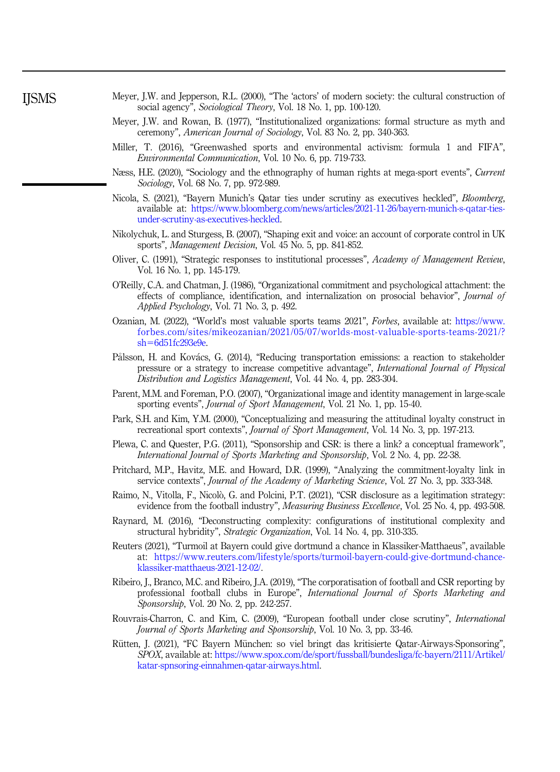- <span id="page-15-0"></span>Meyer, J.W. and Jepperson, R.L. (2000), "The 'actors' of modern society: the cultural construction of social agency", Sociological Theory, Vol. 18 No. 1, pp. 100-120.
- Meyer, J.W. and Rowan, B. (1977), "Institutionalized organizations: formal structure as myth and ceremony", American Journal of Sociology, Vol. 83 No. 2, pp. 340-363.
- Miller, T. (2016), "Greenwashed sports and environmental activism: formula 1 and FIFA", Environmental Communication, Vol. 10 No. 6, pp. 719-733.
- Næss, H.E. (2020), "Sociology and the ethnography of human rights at mega-sport events", Current Sociology, Vol. 68 No. 7, pp. 972-989.
- Nicola, S. (2021), "Bayern Munich's Qatar ties under scrutiny as executives heckled", Bloomberg, available at: [https://www.bloomberg.com/news/articles/2021-11-26/bayern-munich-s-qatar-ties](https://www.bloomberg.com/news/articles/2021-11-26/bayern-munich-s-qatar-ties-under-scrutiny-as-executives-heckled)[under-scrutiny-as-executives-heckled.](https://www.bloomberg.com/news/articles/2021-11-26/bayern-munich-s-qatar-ties-under-scrutiny-as-executives-heckled)
- Nikolychuk, L. and Sturgess, B. (2007), "Shaping exit and voice: an account of corporate control in UK sports", Management Decision, Vol. 45 No. 5, pp. 841-852.
- Oliver, C. (1991), "Strategic responses to institutional processes", Academy of Management Review, Vol. 16 No. 1, pp. 145-179.
- O'Reilly, C.A. and Chatman, J. (1986), "Organizational commitment and psychological attachment: the effects of compliance, identification, and internalization on prosocial behavior", Journal of Applied Psychology, Vol. 71 No. 3, p. 492.
- Ozanian, M. (2022), "World's most valuable sports teams 2021", Forbes, available at: [https://www.](https://www.forbes.com/sites/mikeozanian/2021/05/07/worlds-most-valuable-sports-teams-2021/?sh=6d51fc293e9e) [forbes.com/sites/mikeozanian/2021/05/07/worlds-most-valuable-sports-teams-2021/?](https://www.forbes.com/sites/mikeozanian/2021/05/07/worlds-most-valuable-sports-teams-2021/?sh=6d51fc293e9e)  $sh=6d51fc293e9e$  $sh=6d51fc293e9e$  $sh=6d51fc293e9e$ .
- Pålsson, H. and Kovács, G. (2014), "Reducing transportation emissions: a reaction to stakeholder pressure or a strategy to increase competitive advantage", International Journal of Physical Distribution and Logistics Management, Vol. 44 No. 4, pp. 283-304.
- Parent, M.M. and Foreman, P.O. (2007), "Organizational image and identity management in large-scale sporting events", Journal of Sport Management, Vol. 21 No. 1, pp. 15-40.
- Park, S.H. and Kim, Y.M. (2000), "Conceptualizing and measuring the attitudinal loyalty construct in recreational sport contexts", Journal of Sport Management, Vol. 14 No. 3, pp. 197-213.
- Plewa, C. and Quester, P.G. (2011), "Sponsorship and CSR: is there a link? a conceptual framework", International Journal of Sports Marketing and Sponsorship, Vol. 2 No. 4, pp. 22-38.
- Pritchard, M.P., Havitz, M.E. and Howard, D.R. (1999), "Analyzing the commitment-loyalty link in service contexts", *Journal of the Academy of Marketing Science*, Vol. 27 No. 3, pp. 333-348.
- Raimo, N., Vitolla, F., Nicolò, G. and Polcini, P.T. (2021), "CSR disclosure as a legitimation strategy: evidence from the football industry", *Measuring Business Excellence*, Vol. 25 No. 4, pp. 493-508.
- Raynard, M. (2016), "Deconstructing complexity: configurations of institutional complexity and structural hybridity", Strategic Organization, Vol. 14 No. 4, pp. 310-335.
- Reuters (2021), "Turmoil at Bayern could give dortmund a chance in Klassiker-Matthaeus", available at: [https://www.reuters.com/lifestyle/sports/turmoil-bayern-could-give-dortmund-chance](https://www.reuters.com/lifestyle/sports/turmoil-bayern-could-give-dortmund-chance-klassiker-matthaeus-2021-12-02/)[klassiker-matthaeus-2021-12-02/](https://www.reuters.com/lifestyle/sports/turmoil-bayern-could-give-dortmund-chance-klassiker-matthaeus-2021-12-02/).
- Ribeiro, J., Branco, M.C. and Ribeiro, J.A. (2019), "The corporatisation of football and CSR reporting by professional football clubs in Europe", International Journal of Sports Marketing and Sponsorship, Vol. 20 No. 2, pp. 242-257.
- Rouvrais-Charron, C. and Kim, C. (2009), "European football under close scrutiny", International Journal of Sports Marketing and Sponsorship, Vol. 10 No. 3, pp. 33-46.
- Rütten, J. (2021), "FC Bayern München: so viel bringt das kritisierte Qatar-Airways-Sponsoring", SPOX, available at: [https://www.spox.com/de/sport/fussball/bundesliga/fc-bayern/2111/Artikel/](https://www.spox.com/de/sport/fussball/bundesliga/fc-bayern/2111/Artikel/katar-spnsoring-einnahmen-qatar-airways.html) [katar-spnsoring-einnahmen-qatar-airways.html.](https://www.spox.com/de/sport/fussball/bundesliga/fc-bayern/2111/Artikel/katar-spnsoring-einnahmen-qatar-airways.html)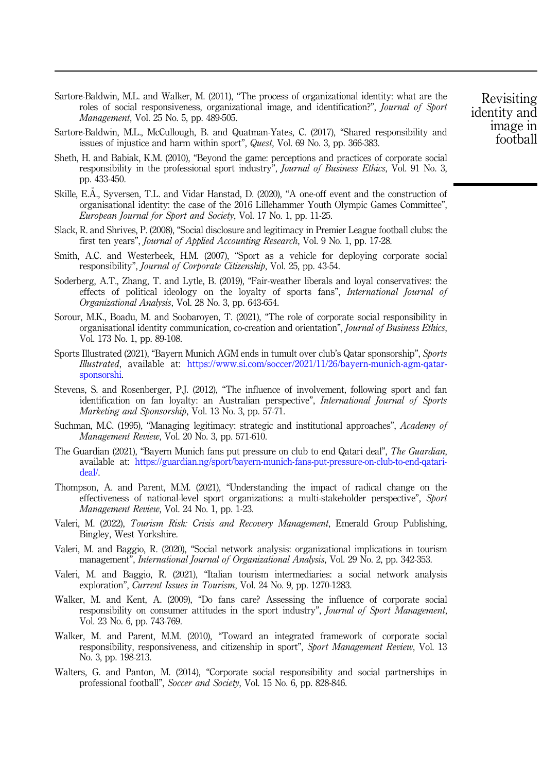- <span id="page-16-0"></span>Sartore-Baldwin, M.L. and Walker, M. (2011), "The process of organizational identity: what are the roles of social responsiveness, organizational image, and identification?", Journal of Sport Management, Vol. 25 No. 5, pp. 489-505.
- Sartore-Baldwin, M.L., McCullough, B. and Quatman-Yates, C. (2017), "Shared responsibility and issues of injustice and harm within sport", Quest, Vol. 69 No. 3, pp. 366-383.
- Sheth, H. and Babiak, K.M. (2010), "Beyond the game: perceptions and practices of corporate social responsibility in the professional sport industry", *Journal of Business Ethics*, Vol. 91 No. 3, pp. 433-450.
- Skille, E.Å., Syversen, T.L. and Vidar Hanstad, D. (2020), "A one-off event and the construction of organisational identity: the case of the 2016 Lillehammer Youth Olympic Games Committee", European Journal for Sport and Society, Vol. 17 No. 1, pp. 11-25.
- Slack, R. and Shrives, P. (2008), "Social disclosure and legitimacy in Premier League football clubs: the first ten years", Journal of Applied Accounting Research, Vol. 9 No. 1, pp. 17-28.
- Smith, A.C. and Westerbeek, H.M. (2007), "Sport as a vehicle for deploying corporate social responsibility", Journal of Corporate Citizenship, Vol. 25, pp. 43-54.
- Soderberg, A.T., Zhang, T. and Lytle, B. (2019), "Fair-weather liberals and loyal conservatives: the effects of political ideology on the loyalty of sports fans", International Journal of Organizational Analysis, Vol. 28 No. 3, pp. 643-654.
- Sorour, M.K., Boadu, M. and Soobaroyen, T. (2021), "The role of corporate social responsibility in organisational identity communication, co-creation and orientation", Journal of Business Ethics, Vol. 173 No. 1, pp. 89-108.
- Sports Illustrated (2021), "Bayern Munich AGM ends in tumult over club's Qatar sponsorship", Sports Illustrated, available at: [https://www.si.com/soccer/2021/11/26/bayern-munich-agm-qatar](https://www.si.com/soccer/2021/11/26/bayern-munich-agm-qatar-sponsorshi)[sponsorshi](https://www.si.com/soccer/2021/11/26/bayern-munich-agm-qatar-sponsorshi).
- Stevens, S. and Rosenberger, P.J. (2012), "The influence of involvement, following sport and fan identification on fan loyalty: an Australian perspective", International Journal of Sports Marketing and Sponsorship, Vol. 13 No. 3, pp. 57-71.
- Suchman, M.C. (1995), "Managing legitimacy: strategic and institutional approaches", Academy of Management Review, Vol. 20 No. 3, pp. 571-610.
- The Guardian (2021), "Bayern Munich fans put pressure on club to end Qatari deal", The Guardian, available at: [https://guardian.ng/sport/bayern-munich-fans-put-pressure-on-club-to-end-qatari](https://guardian.ng/sport/bayern-munich-fans-put-pressure-on-club-to-end-qatari-deal/)[deal/](https://guardian.ng/sport/bayern-munich-fans-put-pressure-on-club-to-end-qatari-deal/).
- Thompson, A. and Parent, M.M. (2021), "Understanding the impact of radical change on the effectiveness of national-level sport organizations: a multi-stakeholder perspective", Sport Management Review, Vol. 24 No. 1, pp. 1-23.
- Valeri, M. (2022), Tourism Risk: Crisis and Recovery Management, Emerald Group Publishing, Bingley, West Yorkshire.
- Valeri, M. and Baggio, R. (2020), "Social network analysis: organizational implications in tourism management", *International Journal of Organizational Analysis*, Vol. 29 No. 2, pp. 342-353.
- Valeri, M. and Baggio, R. (2021), "Italian tourism intermediaries: a social network analysis exploration", Current Issues in Tourism, Vol. 24 No. 9, pp. 1270-1283.
- Walker, M. and Kent, A. (2009), "Do fans care? Assessing the influence of corporate social responsibility on consumer attitudes in the sport industry", Journal of Sport Management, Vol. 23 No. 6, pp. 743-769.
- Walker, M. and Parent, M.M. (2010), "Toward an integrated framework of corporate social responsibility, responsiveness, and citizenship in sport", Sport Management Review, Vol. 13 No. 3, pp. 198-213.
- Walters, G. and Panton, M. (2014), "Corporate social responsibility and social partnerships in professional football", Soccer and Society, Vol. 15 No. 6, pp. 828-846.